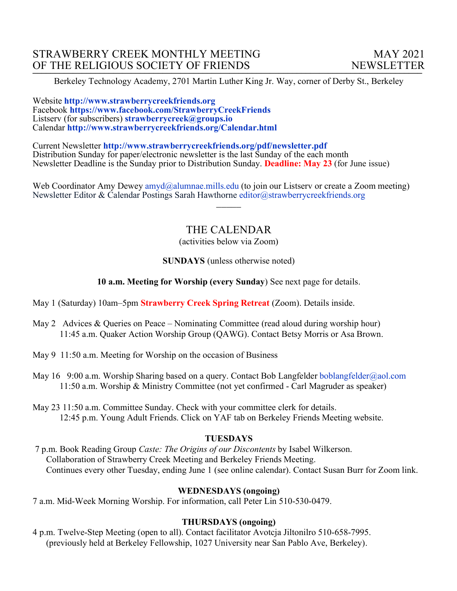Berkeley Technology Academy, 2701 Martin Luther King Jr. Way, corner of Derby St., Berkeley

Website **http://www.strawberrycreekfriends.org**  Facebook **https://www.facebook.com/StrawberryCreekFriends** Listserv (for subscribers) **strawberrycreek@groups.io** Calendar **http://www.strawberrycreekfriends.org/Calendar.html**

Current Newsletter **http://www.strawberrycreekfriends.org/pdf/newsletter.pdf** Distribution Sunday for paper/electronic newsletter is the last Sunday of the each month Newsletter Deadline is the Sunday prior to Distribution Sunday. **Deadline: May 23** (for June issue)

Web Coordinator Amy Dewey amyd@alumnae.mills.edu (to join our Listsery or create a Zoom meeting) Newsletter Editor & Calendar Postings Sarah Hawthorne editor@strawberrycreekfriends.org

# THE CALENDAR

 $\overline{\phantom{a}}$ 

(activities below via Zoom)

## **SUNDAYS** (unless otherwise noted)

**10 a.m. Meeting for Worship (every Sunday**) See next page for details.

May 1 (Saturday) 10am–5pm **Strawberry Creek Spring Retreat** (Zoom). Details inside.

- May 2 Advices & Queries on Peace Nominating Committee (read aloud during worship hour) 11:45 a.m. Quaker Action Worship Group (QAWG). Contact Betsy Morris or Asa Brown.
- May 9 11:50 a.m. Meeting for Worship on the occasion of Business
- May 16 9:00 a.m. Worship Sharing based on a query. Contact Bob Langfelder boblangfelder@aol.com 11:50 a.m. Worship & Ministry Committee (not yet confirmed - Carl Magruder as speaker)
- May 23 11:50 a.m. Committee Sunday. Check with your committee clerk for details. 12:45 p.m. Young Adult Friends. Click on YAF tab on Berkeley Friends Meeting website.

### **TUESDAYS**

7 p.m. Book Reading Group *Caste: The Origins of our Discontents* by Isabel Wilkerson. Collaboration of Strawberry Creek Meeting and Berkeley Friends Meeting. Continues every other Tuesday, ending June 1 (see online calendar). Contact Susan Burr for Zoom link.

# **WEDNESDAYS (ongoing)**

7 a.m. Mid-Week Morning Worship. For information, call Peter Lin 510-530-0479.

# **THURSDAYS (ongoing)**

4 p.m. Twelve-Step Meeting (open to all). Contact facilitator Avotcja Jiltonilro 510-658-7995. (previously held at Berkeley Fellowship, 1027 University near San Pablo Ave, Berkeley).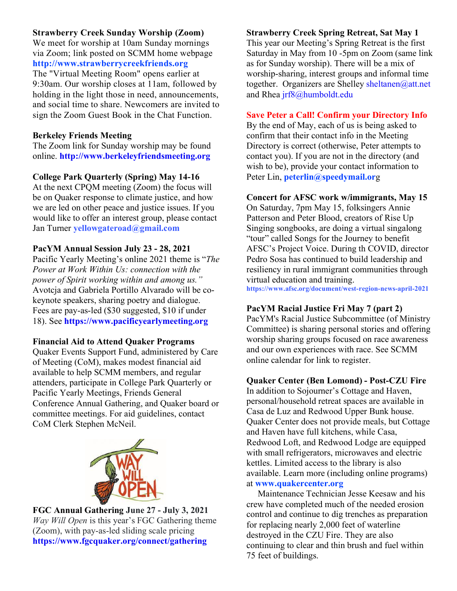# **Strawberry Creek Sunday Worship (Zoom)**

We meet for worship at 10am Sunday mornings via Zoom; link posted on SCMM home webpage **http://www.strawberrycreekfriends.org** The "Virtual Meeting Room" opens earlier at

9:30am. Our worship closes at 11am, followed by holding in the light those in need, announcements, and social time to share. Newcomers are invited to sign the Zoom Guest Book in the Chat Function.

## **Berkeley Friends Meeting**

The Zoom link for Sunday worship may be found online. **http://www.berkeleyfriendsmeeting.org**

## **College Park Quarterly (Spring) May 14-16**

At the next CPQM meeting (Zoom) the focus will be on Quaker response to climate justice, and how we are led on other peace and justice issues. If you would like to offer an interest group, please contact Jan Turner **yellowgateroad@gmail.com**

## **PacYM Annual Session July 23 - 28, 2021**

Pacific Yearly Meeting's online 2021 theme is "*The Power at Work Within Us: connection with the power of Spirit working within and among us."* Avotcja and Gabriela Portillo Alvarado will be cokeynote speakers, sharing poetry and dialogue. Fees are pay-as-led (\$30 suggested, \$10 if under 18). See **https://www.pacificyearlymeeting.org**

### **Financial Aid to Attend Quaker Programs**

Quaker Events Support Fund, administered by Care of Meeting (CoM), makes modest financial aid available to help SCMM members, and regular attenders, participate in College Park Quarterly or Pacific Yearly Meetings, Friends General Conference Annual Gathering, and Quaker board or committee meetings. For aid guidelines, contact CoM Clerk Stephen McNeil.



# **FGC Annual Gathering June 27 - July 3, 2021** *Way Will Open* is this year's FGC Gathering theme (Zoom), with pay-as-led sliding scale pricing **https://www.fgcquaker.org/connect/gathering**

### **Strawberry Creek Spring Retreat, Sat May 1**

This year our Meeting's Spring Retreat is the first Saturday in May from 10 -5pm on Zoom (same link as for Sunday worship). There will be a mix of worship-sharing, interest groups and informal time together. Organizers are Shelley sheltanen@att.net and Rhea jrf8@humboldt.edu

### **Save Peter a Call! Confirm your Directory Info**

By the end of May, each of us is being asked to confirm that their contact info in the Meeting Directory is correct (otherwise, Peter attempts to contact you). If you are not in the directory (and wish to be), provide your contact information to Peter Lin, **peterlin@speedymail.or**g

### **Concert for AFSC work w/immigrants, May 15**

On Saturday, 7pm May 15, folksingers Annie Patterson and Peter Blood, creators of Rise Up Singing songbooks, are doing a virtual singalong "tour" called Songs for the Journey to benefit AFSC's Project Voice. During th COVID, director Pedro Sosa has continued to build leadership and resiliency in rural immigrant communities through virtual education and training.

**https://www.afsc.org/document/west-region-news-april-2021**

# **PacYM Racial Justice Fri May 7 (part 2)**

PacYM's Racial Justice Subcommittee (of Ministry Committee) is sharing personal stories and offering worship sharing groups focused on race awareness and our own experiences with race. See SCMM online calendar for link to register.

### **Quaker Center (Ben Lomond) - Post-CZU Fire**

In addition to Sojourner's Cottage and Haven, personal/household retreat spaces are available in Casa de Luz and Redwood Upper Bunk house. Quaker Center does not provide meals, but Cottage and Haven have full kitchens, while Casa, Redwood Loft, and Redwood Lodge are equipped with small refrigerators, microwaves and electric kettles. Limited access to the library is also available. Learn more (including online programs) at **www.quakercenter.org**

 Maintenance Technician Jesse Keesaw and his crew have completed much of the needed erosion control and continue to dig trenches as preparation for replacing nearly 2,000 feet of waterline destroyed in the CZU Fire. They are also continuing to clear and thin brush and fuel within 75 feet of buildings.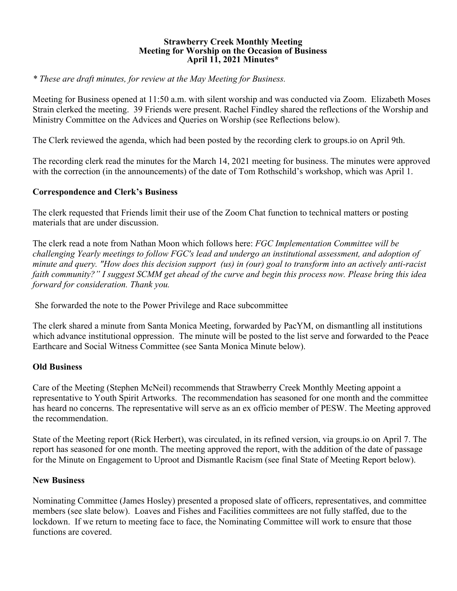#### **Strawberry Creek Monthly Meeting Meeting for Worship on the Occasion of Business April 11, 2021 Minutes\***

*\* These are draft minutes, for review at the May Meeting for Business.*

Meeting for Business opened at 11:50 a.m. with silent worship and was conducted via Zoom. Elizabeth Moses Strain clerked the meeting. 39 Friends were present. Rachel Findley shared the reflections of the Worship and Ministry Committee on the Advices and Queries on Worship (see Reflections below).

The Clerk reviewed the agenda, which had been posted by the recording clerk to groups.io on April 9th.

The recording clerk read the minutes for the March 14, 2021 meeting for business. The minutes were approved with the correction (in the announcements) of the date of Tom Rothschild's workshop, which was April 1.

## **Correspondence and Clerk's Business**

The clerk requested that Friends limit their use of the Zoom Chat function to technical matters or posting materials that are under discussion.

The clerk read a note from Nathan Moon which follows here: *FGC Implementation Committee will be challenging Yearly meetings to follow FGC's lead and undergo an institutional assessment, and adoption of minute and query. "How does this decision support (us) in (our) goal to transform into an actively anti-racist faith community?" I suggest SCMM get ahead of the curve and begin this process now. Please bring this idea forward for consideration. Thank you.*

She forwarded the note to the Power Privilege and Race subcommittee

The clerk shared a minute from Santa Monica Meeting, forwarded by PacYM, on dismantling all institutions which advance institutional oppression. The minute will be posted to the list serve and forwarded to the Peace Earthcare and Social Witness Committee (see Santa Monica Minute below).

# **Old Business**

Care of the Meeting (Stephen McNeil) recommends that Strawberry Creek Monthly Meeting appoint a representative to Youth Spirit Artworks. The recommendation has seasoned for one month and the committee has heard no concerns. The representative will serve as an ex officio member of PESW. The Meeting approved the recommendation.

State of the Meeting report (Rick Herbert), was circulated, in its refined version, via groups.io on April 7. The report has seasoned for one month. The meeting approved the report, with the addition of the date of passage for the Minute on Engagement to Uproot and Dismantle Racism (see final State of Meeting Report below).

# **New Business**

Nominating Committee (James Hosley) presented a proposed slate of officers, representatives, and committee members (see slate below). Loaves and Fishes and Facilities committees are not fully staffed, due to the lockdown. If we return to meeting face to face, the Nominating Committee will work to ensure that those functions are covered.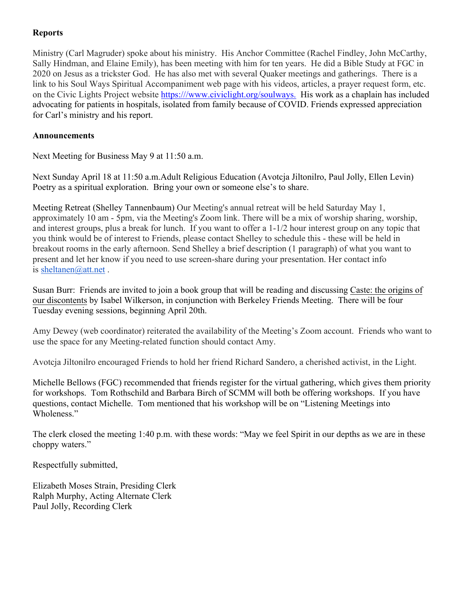# **Reports**

Ministry (Carl Magruder) spoke about his ministry. His Anchor Committee (Rachel Findley, John McCarthy, Sally Hindman, and Elaine Emily), has been meeting with him for ten years. He did a Bible Study at FGC in 2020 on Jesus as a trickster God. He has also met with several Quaker meetings and gatherings. There is a link to his Soul Ways Spiritual Accompaniment web page with his videos, articles, a prayer request form, etc. on the Civic Lights Project website https:///www.civiclight.org/soulways. His work as a chaplain has included advocating for patients in hospitals, isolated from family because of COVID. Friends expressed appreciation for Carl's ministry and his report.

# **Announcements**

Next Meeting for Business May 9 at 11:50 a.m.

Next Sunday April 18 at 11:50 a.m.Adult Religious Education (Avotcja Jiltonilro, Paul Jolly, Ellen Levin) Poetry as a spiritual exploration. Bring your own or someone else's to share.

Meeting Retreat (Shelley Tannenbaum) Our Meeting's annual retreat will be held Saturday May 1, approximately 10 am - 5pm, via the Meeting's Zoom link. There will be a mix of worship sharing, worship, and interest groups, plus a break for lunch. If you want to offer a 1-1/2 hour interest group on any topic that you think would be of interest to Friends, please contact Shelley to schedule this - these will be held in breakout rooms in the early afternoon. Send Shelley a brief description (1 paragraph) of what you want to present and let her know if you need to use screen-share during your presentation. Her contact info is sheltanen@att.net .

Susan Burr: Friends are invited to join a book group that will be reading and discussing Caste: the origins of our discontents by Isabel Wilkerson, in conjunction with Berkeley Friends Meeting. There will be four Tuesday evening sessions, beginning April 20th.

Amy Dewey (web coordinator) reiterated the availability of the Meeting's Zoom account. Friends who want to use the space for any Meeting-related function should contact Amy.

Avotcja Jiltonilro encouraged Friends to hold her friend Richard Sandero, a cherished activist, in the Light.

Michelle Bellows (FGC) recommended that friends register for the virtual gathering, which gives them priority for workshops. Tom Rothschild and Barbara Birch of SCMM will both be offering workshops. If you have questions, contact Michelle. Tom mentioned that his workshop will be on "Listening Meetings into Wholeness."

The clerk closed the meeting 1:40 p.m. with these words: "May we feel Spirit in our depths as we are in these choppy waters."

Respectfully submitted,

Elizabeth Moses Strain, Presiding Clerk Ralph Murphy, Acting Alternate Clerk Paul Jolly, Recording Clerk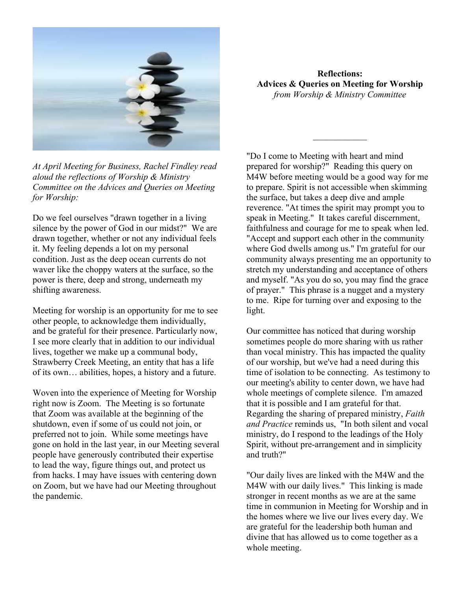

*At April Meeting for Business, Rachel Findley read aloud the reflections of Worship & Ministry Committee on the Advices and Queries on Meeting for Worship:*

Do we feel ourselves "drawn together in a living silence by the power of God in our midst?" We are drawn together, whether or not any individual feels it. My feeling depends a lot on my personal condition. Just as the deep ocean currents do not waver like the choppy waters at the surface, so the power is there, deep and strong, underneath my shifting awareness.

Meeting for worship is an opportunity for me to see other people, to acknowledge them individually, and be grateful for their presence. Particularly now, I see more clearly that in addition to our individual lives, together we make up a communal body, Strawberry Creek Meeting, an entity that has a life of its own… abilities, hopes, a history and a future.

Woven into the experience of Meeting for Worship right now is Zoom. The Meeting is so fortunate that Zoom was available at the beginning of the shutdown, even if some of us could not join, or preferred not to join. While some meetings have gone on hold in the last year, in our Meeting several people have generously contributed their expertise to lead the way, figure things out, and protect us from hacks. I may have issues with centering down on Zoom, but we have had our Meeting throughout the pandemic.

**Reflections: Advices & Queries on Meeting for Worship** *from Worship & Ministry Committee*

*\_\_\_\_\_\_\_\_\_\_\_\_*

"Do I come to Meeting with heart and mind prepared for worship?" Reading this query on M4W before meeting would be a good way for me to prepare. Spirit is not accessible when skimming the surface, but takes a deep dive and ample reverence. "At times the spirit may prompt you to speak in Meeting." It takes careful discernment, faithfulness and courage for me to speak when led. "Accept and support each other in the community where God dwells among us." I'm grateful for our community always presenting me an opportunity to stretch my understanding and acceptance of others and myself. "As you do so, you may find the grace of prayer." This phrase is a nugget and a mystery to me. Ripe for turning over and exposing to the light.

Our committee has noticed that during worship sometimes people do more sharing with us rather than vocal ministry. This has impacted the quality of our worship, but we've had a need during this time of isolation to be connecting. As testimony to our meeting's ability to center down, we have had whole meetings of complete silence. I'm amazed that it is possible and I am grateful for that. Regarding the sharing of prepared ministry, *Faith and Practice* reminds us, "In both silent and vocal ministry, do I respond to the leadings of the Holy Spirit, without pre-arrangement and in simplicity and truth?"

"Our daily lives are linked with the M4W and the M4W with our daily lives." This linking is made stronger in recent months as we are at the same time in communion in Meeting for Worship and in the homes where we live our lives every day. We are grateful for the leadership both human and divine that has allowed us to come together as a whole meeting.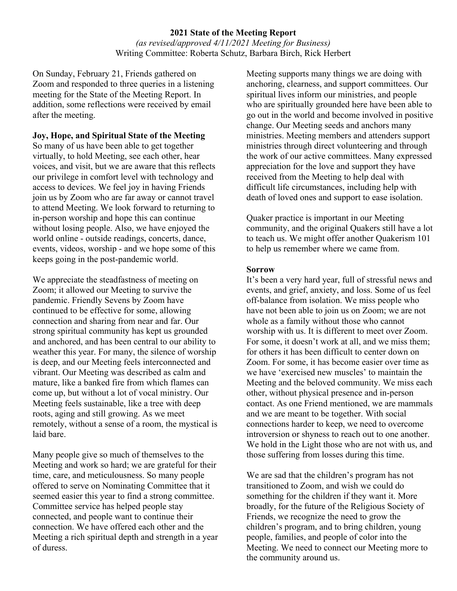## **2021 State of the Meeting Report** *(as revised/approved 4/11/2021 Meeting for Business)* Writing Committee: Roberta Schutz, Barbara Birch, Rick Herbert

On Sunday, February 21, Friends gathered on Zoom and responded to three queries in a listening meeting for the State of the Meeting Report. In addition, some reflections were received by email after the meeting.

## **Joy, Hope, and Spiritual State of the Meeting**

So many of us have been able to get together virtually, to hold Meeting, see each other, hear voices, and visit, but we are aware that this reflects our privilege in comfort level with technology and access to devices. We feel joy in having Friends join us by Zoom who are far away or cannot travel to attend Meeting. We look forward to returning to in-person worship and hope this can continue without losing people. Also, we have enjoyed the world online - outside readings, concerts, dance, events, videos, worship - and we hope some of this keeps going in the post-pandemic world.

We appreciate the steadfastness of meeting on Zoom; it allowed our Meeting to survive the pandemic. Friendly Sevens by Zoom have continued to be effective for some, allowing connection and sharing from near and far. Our strong spiritual community has kept us grounded and anchored, and has been central to our ability to weather this year. For many, the silence of worship is deep, and our Meeting feels interconnected and vibrant. Our Meeting was described as calm and mature, like a banked fire from which flames can come up, but without a lot of vocal ministry. Our Meeting feels sustainable, like a tree with deep roots, aging and still growing. As we meet remotely, without a sense of a room, the mystical is laid bare.

Many people give so much of themselves to the Meeting and work so hard; we are grateful for their time, care, and meticulousness. So many people offered to serve on Nominating Committee that it seemed easier this year to find a strong committee. Committee service has helped people stay connected, and people want to continue their connection. We have offered each other and the Meeting a rich spiritual depth and strength in a year of duress.

Meeting supports many things we are doing with anchoring, clearness, and support committees. Our spiritual lives inform our ministries, and people who are spiritually grounded here have been able to go out in the world and become involved in positive change. Our Meeting seeds and anchors many ministries. Meeting members and attenders support ministries through direct volunteering and through the work of our active committees. Many expressed appreciation for the love and support they have received from the Meeting to help deal with difficult life circumstances, including help with death of loved ones and support to ease isolation.

Quaker practice is important in our Meeting community, and the original Quakers still have a lot to teach us. We might offer another Quakerism 101 to help us remember where we came from.

#### **Sorrow**

It's been a very hard year, full of stressful news and events, and grief, anxiety, and loss. Some of us feel off-balance from isolation. We miss people who have not been able to join us on Zoom; we are not whole as a family without those who cannot worship with us. It is different to meet over Zoom. For some, it doesn't work at all, and we miss them; for others it has been difficult to center down on Zoom. For some, it has become easier over time as we have 'exercised new muscles' to maintain the Meeting and the beloved community. We miss each other, without physical presence and in-person contact. As one Friend mentioned, we are mammals and we are meant to be together. With social connections harder to keep, we need to overcome introversion or shyness to reach out to one another. We hold in the Light those who are not with us, and those suffering from losses during this time.

We are sad that the children's program has not transitioned to Zoom, and wish we could do something for the children if they want it. More broadly, for the future of the Religious Society of Friends, we recognize the need to grow the children's program, and to bring children, young people, families, and people of color into the Meeting. We need to connect our Meeting more to the community around us.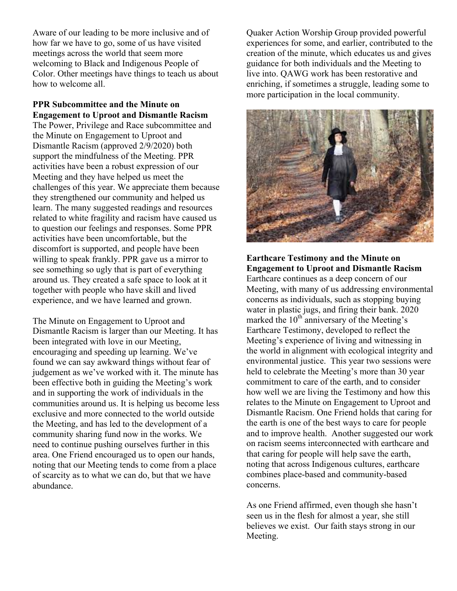Aware of our leading to be more inclusive and of how far we have to go, some of us have visited meetings across the world that seem more welcoming to Black and Indigenous People of Color. Other meetings have things to teach us about how to welcome all.

## **PPR Subcommittee and the Minute on Engagement to Uproot and Dismantle Racism**

The Power, Privilege and Race subcommittee and the Minute on Engagement to Uproot and Dismantle Racism (approved 2/9/2020) both support the mindfulness of the Meeting. PPR activities have been a robust expression of our Meeting and they have helped us meet the challenges of this year. We appreciate them because they strengthened our community and helped us learn. The many suggested readings and resources related to white fragility and racism have caused us to question our feelings and responses. Some PPR activities have been uncomfortable, but the discomfort is supported, and people have been willing to speak frankly. PPR gave us a mirror to see something so ugly that is part of everything around us. They created a safe space to look at it together with people who have skill and lived experience, and we have learned and grown.

The Minute on Engagement to Uproot and Dismantle Racism is larger than our Meeting. It has been integrated with love in our Meeting, encouraging and speeding up learning. We've found we can say awkward things without fear of judgement as we've worked with it. The minute has been effective both in guiding the Meeting's work and in supporting the work of individuals in the communities around us. It is helping us become less exclusive and more connected to the world outside the Meeting, and has led to the development of a community sharing fund now in the works. We need to continue pushing ourselves further in this area. One Friend encouraged us to open our hands, noting that our Meeting tends to come from a place of scarcity as to what we can do, but that we have abundance.

Quaker Action Worship Group provided powerful experiences for some, and earlier, contributed to the creation of the minute, which educates us and gives guidance for both individuals and the Meeting to live into. QAWG work has been restorative and enriching, if sometimes a struggle, leading some to more participation in the local community.



**Earthcare Testimony and the Minute on Engagement to Uproot and Dismantle Racism** Earthcare continues as a deep concern of our Meeting, with many of us addressing environmental concerns as individuals, such as stopping buying water in plastic jugs, and firing their bank. 2020 marked the  $10^{th}$  anniversary of the Meeting's Earthcare Testimony, developed to reflect the Meeting's experience of living and witnessing in the world in alignment with ecological integrity and environmental justice. This year two sessions were held to celebrate the Meeting's more than 30 year commitment to care of the earth, and to consider how well we are living the Testimony and how this relates to the Minute on Engagement to Uproot and Dismantle Racism. One Friend holds that caring for the earth is one of the best ways to care for people and to improve health. Another suggested our work on racism seems interconnected with earthcare and that caring for people will help save the earth, noting that across Indigenous cultures, earthcare combines place-based and community-based concerns.

As one Friend affirmed, even though she hasn't seen us in the flesh for almost a year, she still believes we exist. Our faith stays strong in our Meeting.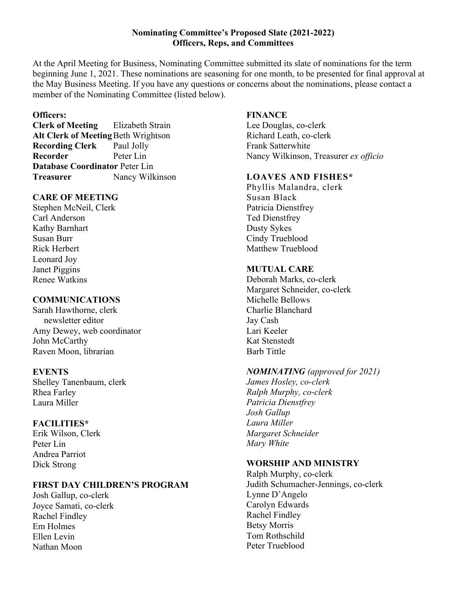## **Nominating Committee's Proposed Slate (2021-2022) Officers, Reps, and Committees**

At the April Meeting for Business, Nominating Committee submitted its slate of nominations for the term beginning June 1, 2021. These nominations are seasoning for one month, to be presented for final approval at the May Business Meeting. If you have any questions or concerns about the nominations, please contact a member of the Nominating Committee (listed below).

## **Officers:**

**Clerk of Meeting** Elizabeth Strain **Alt Clerk of Meeting**Beth Wrightson **Recording Clerk** Paul Jolly **Recorder** Peter Lin **Database Coordinator** Peter Lin **Treasurer** Nancy Wilkinson

### **CARE OF MEETING**

Stephen McNeil, Clerk Carl Anderson Kathy Barnhart Susan Burr Rick Herbert Leonard Joy Janet Piggins Renee Watkins

## **COMMUNICATIONS**

Sarah Hawthorne, clerk newsletter editor Amy Dewey, web coordinator John McCarthy Raven Moon, librarian

### **EVENTS**

Shelley Tanenbaum, clerk Rhea Farley Laura Miller

# **FACILITIES\***

Erik Wilson, Clerk Peter Lin Andrea Parriot Dick Strong

# **FIRST DAY CHILDREN'S PROGRAM**

Josh Gallup, co-clerk Joyce Samati, co-clerk Rachel Findley Em Holmes Ellen Levin Nathan Moon

# **FINANCE**

Lee Douglas, co-clerk Richard Leath, co-clerk Frank Satterwhite Nancy Wilkinson, Treasurer *ex officio*

### **LOAVES AND FISHES\***

Phyllis Malandra, clerk Susan Black Patricia Dienstfrey Ted Dienstfrey Dusty Sykes Cindy Trueblood Matthew Trueblood

## **MUTUAL CARE**

Deborah Marks, co-clerk Margaret Schneider, co-clerk Michelle Bellows Charlie Blanchard Jay Cash Lari Keeler Kat Stenstedt Barb Tittle

### *NOMINATING (approved for 2021)*

*James Hosley, co-clerk Ralph Murphy, co-clerk Patricia Dienstfrey Josh Gallup Laura Miller Margaret Schneider Mary White*

### **WORSHIP AND MINISTRY**

Ralph Murphy, co-clerk Judith Schumacher-Jennings, co-clerk Lynne D'Angelo Carolyn Edwards Rachel Findley Betsy Morris Tom Rothschild Peter Trueblood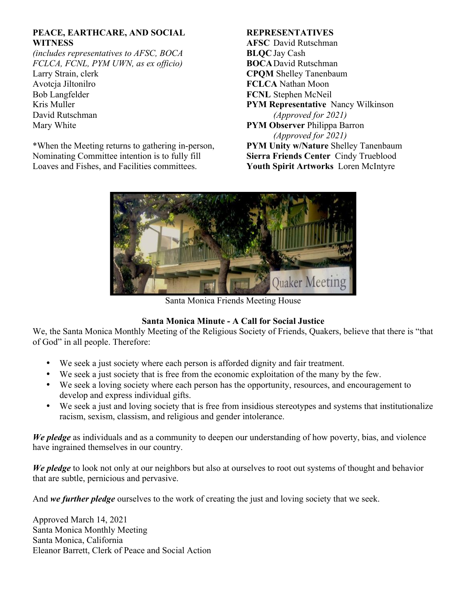# **PEACE, EARTHCARE, AND SOCIAL WITNESS**

*(includes representatives to AFSC, BOCA FCLCA, FCNL, PYM UWN, as ex officio)* Larry Strain, clerk Avotcja Jiltonilro Bob Langfelder Kris Muller David Rutschman Mary White

\*When the Meeting returns to gathering in-person, Nominating Committee intention is to fully fill Loaves and Fishes, and Facilities committees.

# **REPRESENTATIVES**

**AFSC** David Rutschman **BLQC** Jay Cash **BOCA**David Rutschman **CPQM** Shelley Tanenbaum **FCLCA** Nathan Moon **FCNL** Stephen McNeil **PYM Representative** Nancy Wilkinson *(Approved for 2021)* **PYM Observer** Philippa Barron *(Approved for 2021)* **PYM Unity w/Nature** Shelley Tanenbaum **Sierra Friends Center** Cindy Trueblood **Youth Spirit Artworks** Loren McIntyre



Santa Monica Friends Meeting House

# **Santa Monica Minute - A Call for Social Justice**

We, the Santa Monica Monthly Meeting of the Religious Society of Friends, Quakers, believe that there is "that of God" in all people. Therefore:

- We seek a just society where each person is afforded dignity and fair treatment.
- We seek a just society that is free from the economic exploitation of the many by the few.
- We seek a loving society where each person has the opportunity, resources, and encouragement to develop and express individual gifts.
- We seek a just and loving society that is free from insidious stereotypes and systems that institutionalize racism, sexism, classism, and religious and gender intolerance.

*We pledge* as individuals and as a community to deepen our understanding of how poverty, bias, and violence have ingrained themselves in our country.

*We pledge* to look not only at our neighbors but also at ourselves to root out systems of thought and behavior that are subtle, pernicious and pervasive.

And *we further pledge* ourselves to the work of creating the just and loving society that we seek.

Approved March 14, 2021 Santa Monica Monthly Meeting Santa Monica, California Eleanor Barrett, Clerk of Peace and Social Action